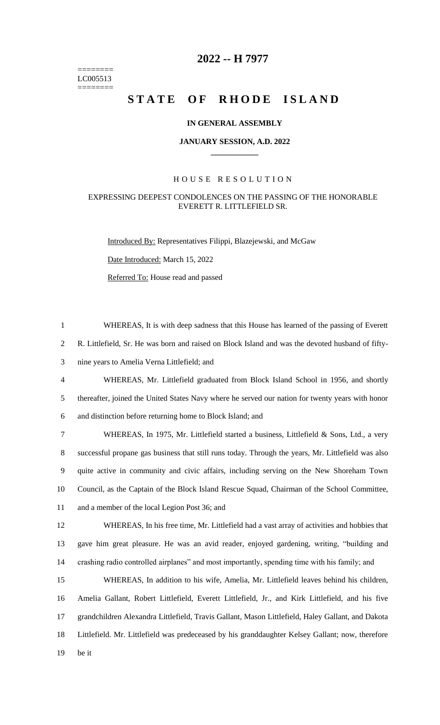======== LC005513 ========

## **2022 -- H 7977**

# **STATE OF RHODE ISLAND**

#### **IN GENERAL ASSEMBLY**

#### **JANUARY SESSION, A.D. 2022 \_\_\_\_\_\_\_\_\_\_\_\_**

### H O U S E R E S O L U T I O N

#### EXPRESSING DEEPEST CONDOLENCES ON THE PASSING OF THE HONORABLE EVERETT R. LITTLEFIELD SR.

Introduced By: Representatives Filippi, Blazejewski, and McGaw

Date Introduced: March 15, 2022

Referred To: House read and passed

 WHEREAS, It is with deep sadness that this House has learned of the passing of Everett R. Littlefield, Sr. He was born and raised on Block Island and was the devoted husband of fifty- nine years to Amelia Verna Littlefield; and WHEREAS, Mr. Littlefield graduated from Block Island School in 1956, and shortly thereafter, joined the United States Navy where he served our nation for twenty years with honor and distinction before returning home to Block Island; and WHEREAS, In 1975, Mr. Littlefield started a business, Littlefield & Sons, Ltd., a very successful propane gas business that still runs today. Through the years, Mr. Littlefield was also quite active in community and civic affairs, including serving on the New Shoreham Town Council, as the Captain of the Block Island Rescue Squad, Chairman of the School Committee, 11 and a member of the local Legion Post 36; and WHEREAS, In his free time, Mr. Littlefield had a vast array of activities and hobbies that gave him great pleasure. He was an avid reader, enjoyed gardening, writing, "building and crashing radio controlled airplanes" and most importantly, spending time with his family; and WHEREAS, In addition to his wife, Amelia, Mr. Littlefield leaves behind his children, Amelia Gallant, Robert Littlefield, Everett Littlefield, Jr., and Kirk Littlefield, and his five grandchildren Alexandra Littlefield, Travis Gallant, Mason Littlefield, Haley Gallant, and Dakota Littlefield. Mr. Littlefield was predeceased by his granddaughter Kelsey Gallant; now, therefore 19 be it